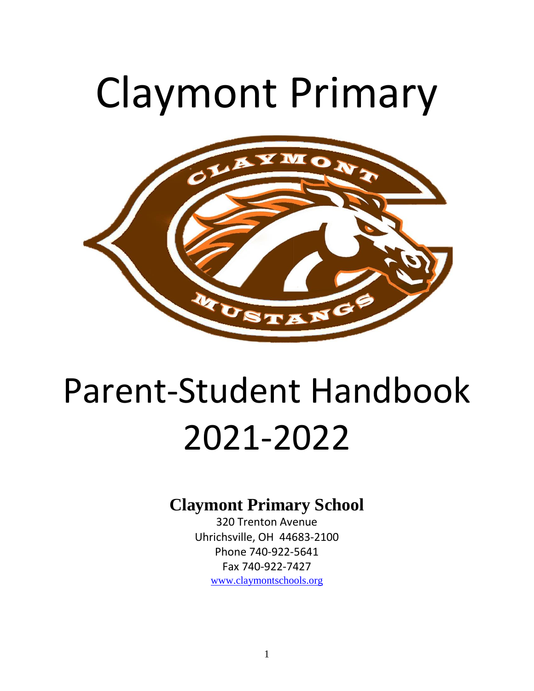# Claymont Primary



# Parent-Student Handbook 2021-2022

# **Claymont Primary School**

320 Trenton Avenue Uhrichsville, OH 44683-2100 Phone 740-922-5641 Fax 740-922-7427 [www.c](http://www./)laymontschools.org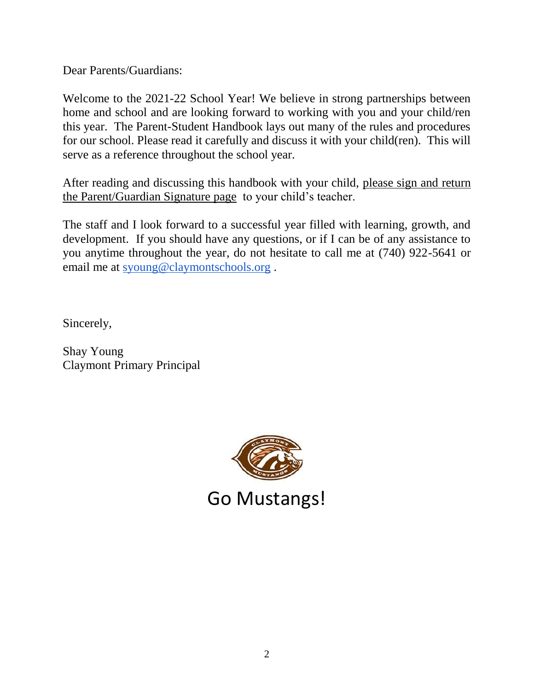Dear Parents/Guardians:

Welcome to the 2021-22 School Year! We believe in strong partnerships between home and school and are looking forward to working with you and your child/ren this year. The Parent-Student Handbook lays out many of the rules and procedures for our school. Please read it carefully and discuss it with your child(ren). This will serve as a reference throughout the school year.

After reading and discussing this handbook with your child, please sign and return the Parent/Guardian Signature page to your child's teacher.

The staff and I look forward to a successful year filled with learning, growth, and development. If you should have any questions, or if I can be of any assistance to you anytime throughout the year, do not hesitate to call me at (740) 922-5641 or email me at [syoung@claymontschools.org](mailto:syoung@claymontschools.org) .

Sincerely,

Shay Young Claymont Primary Principal

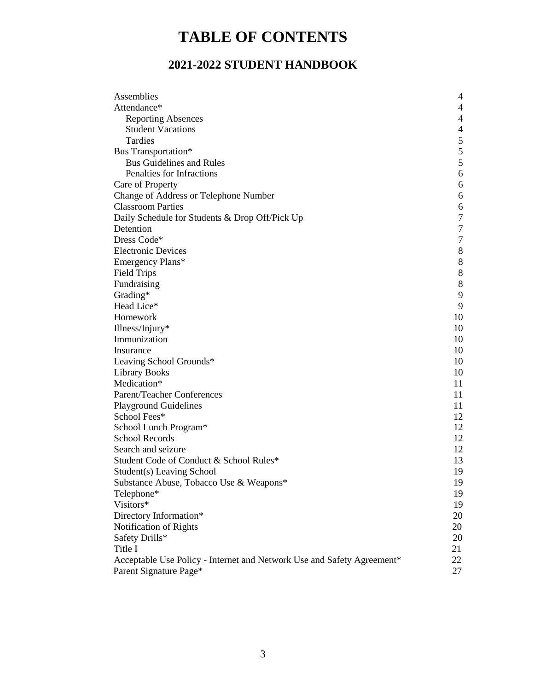# **TABLE OF CONTENTS**

### **2021-2022 STUDENT HANDBOOK**

| Assemblies                                                             | $\overline{4}$ |
|------------------------------------------------------------------------|----------------|
| Attendance*                                                            | 4              |
| <b>Reporting Absences</b>                                              | 4              |
| <b>Student Vacations</b>                                               | $\overline{4}$ |
| Tardies                                                                | $\sqrt{5}$     |
| Bus Transportation*                                                    | 5              |
| <b>Bus Guidelines and Rules</b>                                        | 5              |
| Penalties for Infractions                                              | $\sqrt{6}$     |
| Care of Property                                                       | 6              |
| Change of Address or Telephone Number                                  | $6\,$          |
| <b>Classroom Parties</b>                                               | 6              |
| Daily Schedule for Students & Drop Off/Pick Up                         | $\tau$         |
| Detention                                                              | $\tau$         |
| Dress Code*                                                            | $\tau$         |
| <b>Electronic Devices</b>                                              | $8\,$          |
| Emergency Plans*                                                       | $8\,$          |
| <b>Field Trips</b>                                                     | $\,8\,$        |
| Fundraising                                                            | $8\,$          |
| Grading*                                                               | 9              |
| Head Lice*                                                             | 9              |
| Homework                                                               | 10             |
| Illness/Injury*                                                        | 10             |
| Immunization                                                           | 10             |
| Insurance                                                              | 10             |
| Leaving School Grounds*                                                | 10             |
| <b>Library Books</b>                                                   | 10             |
| Medication*                                                            | 11             |
| Parent/Teacher Conferences                                             | 11             |
| <b>Playground Guidelines</b>                                           | 11             |
| School Fees*                                                           | 12             |
| School Lunch Program*                                                  | 12             |
| <b>School Records</b>                                                  | 12             |
| Search and seizure                                                     | 12             |
| Student Code of Conduct & School Rules*                                | 13             |
| Student(s) Leaving School                                              | 19             |
| Substance Abuse, Tobacco Use & Weapons*                                | 19             |
| Telephone*                                                             | 19             |
| Visitors*                                                              | 19             |
| Directory Information*                                                 | 20             |
| Notification of Rights                                                 | 20             |
| Safety Drills*                                                         | 20             |
| Title I                                                                | 21             |
| Acceptable Use Policy - Internet and Network Use and Safety Agreement* | 22             |
| Parent Signature Page*                                                 | 27             |
|                                                                        |                |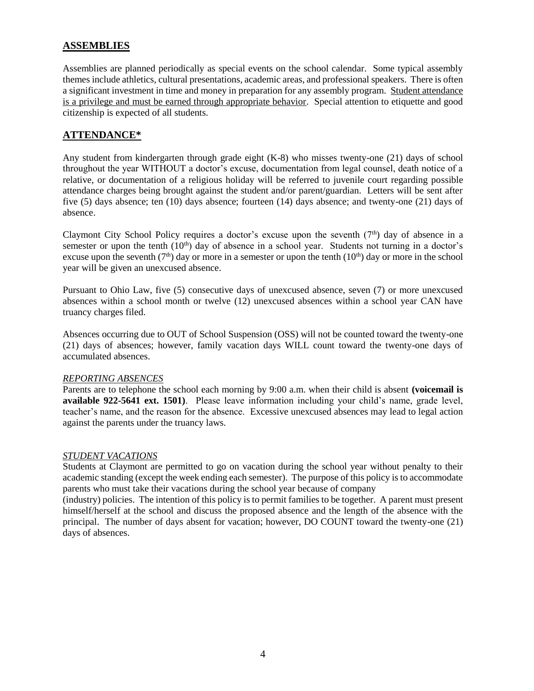#### **ASSEMBLIES**

Assemblies are planned periodically as special events on the school calendar. Some typical assembly themes include athletics, cultural presentations, academic areas, and professional speakers. There is often a significant investment in time and money in preparation for any assembly program. Student attendance is a privilege and must be earned through appropriate behavior. Special attention to etiquette and good citizenship is expected of all students.

#### **ATTENDANCE\***

Any student from kindergarten through grade eight (K-8) who misses twenty-one (21) days of school throughout the year WITHOUT a doctor's excuse, documentation from legal counsel, death notice of a relative, or documentation of a religious holiday will be referred to juvenile court regarding possible attendance charges being brought against the student and/or parent/guardian. Letters will be sent after five (5) days absence; ten (10) days absence; fourteen (14) days absence; and twenty-one (21) days of absence.

Claymont City School Policy requires a doctor's excuse upon the seventh  $(7<sup>th</sup>)$  day of absence in a semester or upon the tenth  $(10<sup>th</sup>)$  day of absence in a school year. Students not turning in a doctor's excuse upon the seventh ( $7<sup>th</sup>$ ) day or more in a semester or upon the tenth ( $10<sup>th</sup>$ ) day or more in the school year will be given an unexcused absence.

Pursuant to Ohio Law, five (5) consecutive days of unexcused absence, seven (7) or more unexcused absences within a school month or twelve (12) unexcused absences within a school year CAN have truancy charges filed.

Absences occurring due to OUT of School Suspension (OSS) will not be counted toward the twenty-one (21) days of absences; however, family vacation days WILL count toward the twenty-one days of accumulated absences.

#### *REPORTING ABSENCES*

Parents are to telephone the school each morning by 9:00 a.m. when their child is absent **(voicemail is available 922-5641 ext. 1501)**. Please leave information including your child's name, grade level, teacher's name, and the reason for the absence. Excessive unexcused absences may lead to legal action against the parents under the truancy laws.

#### *STUDENT VACATIONS*

Students at Claymont are permitted to go on vacation during the school year without penalty to their academic standing (except the week ending each semester). The purpose of this policy is to accommodate parents who must take their vacations during the school year because of company

(industry) policies. The intention of this policy is to permit families to be together. A parent must present himself/herself at the school and discuss the proposed absence and the length of the absence with the principal. The number of days absent for vacation; however, DO COUNT toward the twenty-one (21) days of absences.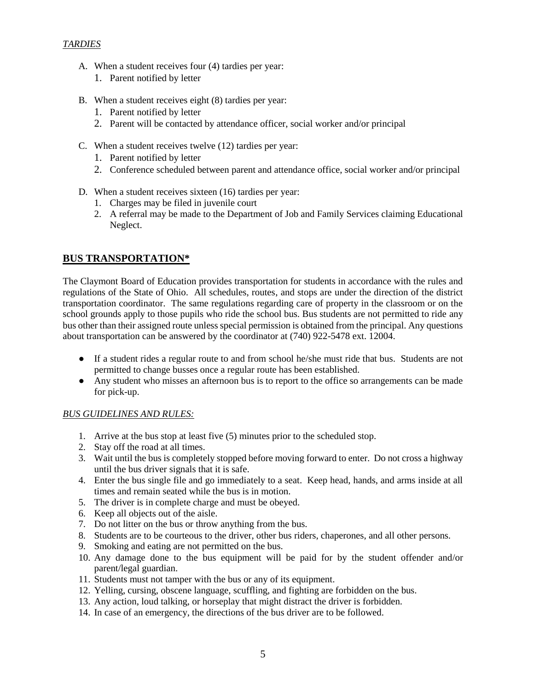#### *TARDIES*

- A. When a student receives four (4) tardies per year:
	- 1. Parent notified by letter
- B. When a student receives eight (8) tardies per year:
	- 1. Parent notified by letter
	- 2. Parent will be contacted by attendance officer, social worker and/or principal
- C. When a student receives twelve (12) tardies per year:
	- 1. Parent notified by letter
	- 2. Conference scheduled between parent and attendance office, social worker and/or principal
- D. When a student receives sixteen (16) tardies per year:
	- 1. Charges may be filed in juvenile court
	- 2. A referral may be made to the Department of Job and Family Services claiming Educational Neglect.

#### **BUS TRANSPORTATION\***

The Claymont Board of Education provides transportation for students in accordance with the rules and regulations of the State of Ohio. All schedules, routes, and stops are under the direction of the district transportation coordinator. The same regulations regarding care of property in the classroom or on the school grounds apply to those pupils who ride the school bus. Bus students are not permitted to ride any bus other than their assigned route unless special permission is obtained from the principal. Any questions about transportation can be answered by the coordinator at (740) 922-5478 ext. 12004.

- If a student rides a regular route to and from school he/she must ride that bus. Students are not permitted to change busses once a regular route has been established.
- Any student who misses an afternoon bus is to report to the office so arrangements can be made for pick-up.

#### *BUS GUIDELINES AND RULES:*

- 1. Arrive at the bus stop at least five (5) minutes prior to the scheduled stop.
- 2. Stay off the road at all times.
- 3. Wait until the bus is completely stopped before moving forward to enter. Do not cross a highway until the bus driver signals that it is safe.
- 4. Enter the bus single file and go immediately to a seat. Keep head, hands, and arms inside at all times and remain seated while the bus is in motion.
- 5. The driver is in complete charge and must be obeyed.
- 6. Keep all objects out of the aisle.
- 7. Do not litter on the bus or throw anything from the bus.
- 8. Students are to be courteous to the driver, other bus riders, chaperones, and all other persons.
- 9. Smoking and eating are not permitted on the bus.
- 10. Any damage done to the bus equipment will be paid for by the student offender and/or parent/legal guardian.
- 11. Students must not tamper with the bus or any of its equipment.
- 12. Yelling, cursing, obscene language, scuffling, and fighting are forbidden on the bus.
- 13. Any action, loud talking, or horseplay that might distract the driver is forbidden.
- 14. In case of an emergency, the directions of the bus driver are to be followed.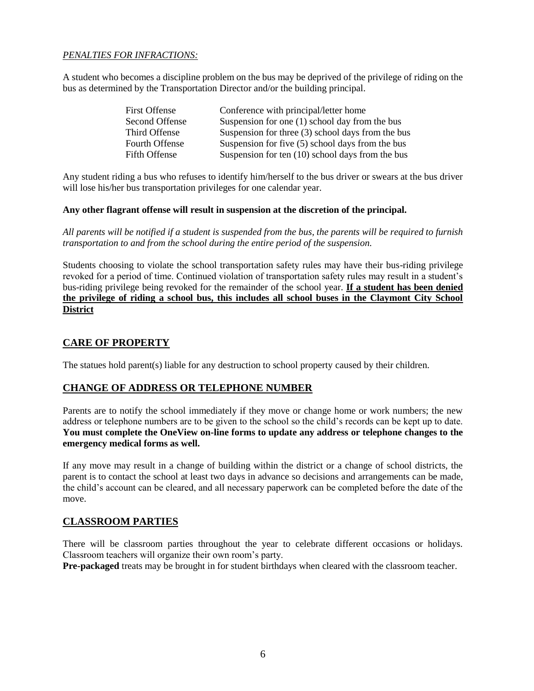#### *PENALTIES FOR INFRACTIONS:*

A student who becomes a discipline problem on the bus may be deprived of the privilege of riding on the bus as determined by the Transportation Director and/or the building principal.

| <b>First Offense</b> | Conference with principal/letter home              |
|----------------------|----------------------------------------------------|
| Second Offense       | Suspension for one $(1)$ school day from the bus   |
| Third Offense        | Suspension for three (3) school days from the bus  |
| Fourth Offense       | Suspension for five (5) school days from the bus   |
| Fifth Offense        | Suspension for ten $(10)$ school days from the bus |

Any student riding a bus who refuses to identify him/herself to the bus driver or swears at the bus driver will lose his/her bus transportation privileges for one calendar year.

#### **Any other flagrant offense will result in suspension at the discretion of the principal.**

*All parents will be notified if a student is suspended from the bus, the parents will be required to furnish transportation to and from the school during the entire period of the suspension.*

Students choosing to violate the school transportation safety rules may have their bus-riding privilege revoked for a period of time. Continued violation of transportation safety rules may result in a student's bus-riding privilege being revoked for the remainder of the school year. **If a student has been denied the privilege of riding a school bus, this includes all school buses in the Claymont City School District**

#### **CARE OF PROPERTY**

The statues hold parent(s) liable for any destruction to school property caused by their children.

#### **CHANGE OF ADDRESS OR TELEPHONE NUMBER**

Parents are to notify the school immediately if they move or change home or work numbers; the new address or telephone numbers are to be given to the school so the child's records can be kept up to date. **You must complete the OneView on-line forms to update any address or telephone changes to the emergency medical forms as well.** 

If any move may result in a change of building within the district or a change of school districts, the parent is to contact the school at least two days in advance so decisions and arrangements can be made, the child's account can be cleared, and all necessary paperwork can be completed before the date of the move.

#### **CLASSROOM PARTIES**

There will be classroom parties throughout the year to celebrate different occasions or holidays. Classroom teachers will organize their own room's party.

**Pre-packaged** treats may be brought in for student birthdays when cleared with the classroom teacher.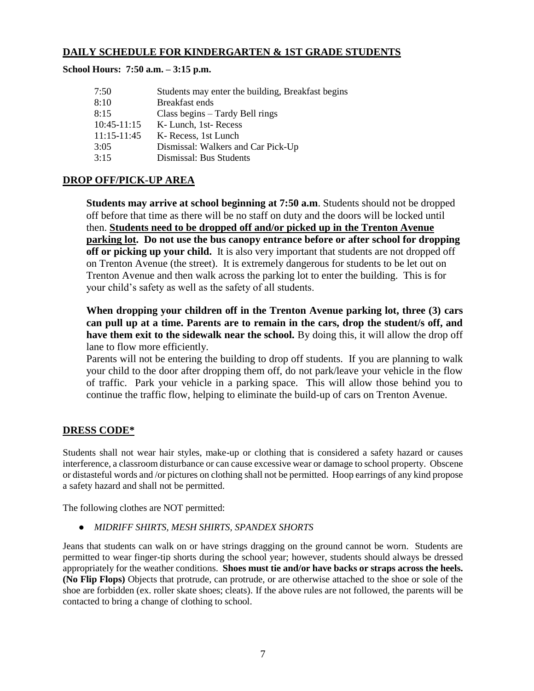#### **DAILY SCHEDULE FOR KINDERGARTEN & 1ST GRADE STUDENTS**

#### **School Hours: 7:50 a.m. – 3:15 p.m.**

| 7:50            | Students may enter the building, Breakfast begins |
|-----------------|---------------------------------------------------|
| 8:10            | Breakfast ends                                    |
| 8:15            | Class begins $-$ Tardy Bell rings                 |
| $10:45-11:15$   | K-Lunch, 1st-Recess                               |
| $11:15 - 11:45$ | K-Recess, 1st Lunch                               |
| 3:05            | Dismissal: Walkers and Car Pick-Up                |
| 3:15            | Dismissal: Bus Students                           |

#### **DROP OFF/PICK-UP AREA**

**Students may arrive at school beginning at 7:50 a.m**. Students should not be dropped off before that time as there will be no staff on duty and the doors will be locked until then. **Students need to be dropped off and/or picked up in the Trenton Avenue parking lot. Do not use the bus canopy entrance before or after school for dropping off or picking up your child.** It is also very important that students are not dropped off on Trenton Avenue (the street). It is extremely dangerous for students to be let out on Trenton Avenue and then walk across the parking lot to enter the building. This is for your child's safety as well as the safety of all students.

**When dropping your children off in the Trenton Avenue parking lot, three (3) cars can pull up at a time. Parents are to remain in the cars, drop the student/s off, and have them exit to the sidewalk near the school.** By doing this, it will allow the drop off lane to flow more efficiently.

Parents will not be entering the building to drop off students. If you are planning to walk your child to the door after dropping them off, do not park/leave your vehicle in the flow of traffic. Park your vehicle in a parking space. This will allow those behind you to continue the traffic flow, helping to eliminate the build-up of cars on Trenton Avenue.

#### **DRESS CODE\***

Students shall not wear hair styles, make-up or clothing that is considered a safety hazard or causes interference, a classroom disturbance or can cause excessive wear or damage to school property. Obscene or distasteful words and /or pictures on clothing shall not be permitted. Hoop earrings of any kind propose a safety hazard and shall not be permitted.

The following clothes are NOT permitted:

#### ● *MIDRIFF SHIRTS, MESH SHIRTS, SPANDEX SHORTS*

Jeans that students can walk on or have strings dragging on the ground cannot be worn. Students are permitted to wear finger-tip shorts during the school year; however, students should always be dressed appropriately for the weather conditions. **Shoes must tie and/or have backs or straps across the heels. (No Flip Flops)** Objects that protrude, can protrude, or are otherwise attached to the shoe or sole of the shoe are forbidden (ex. roller skate shoes; cleats). If the above rules are not followed, the parents will be contacted to bring a change of clothing to school.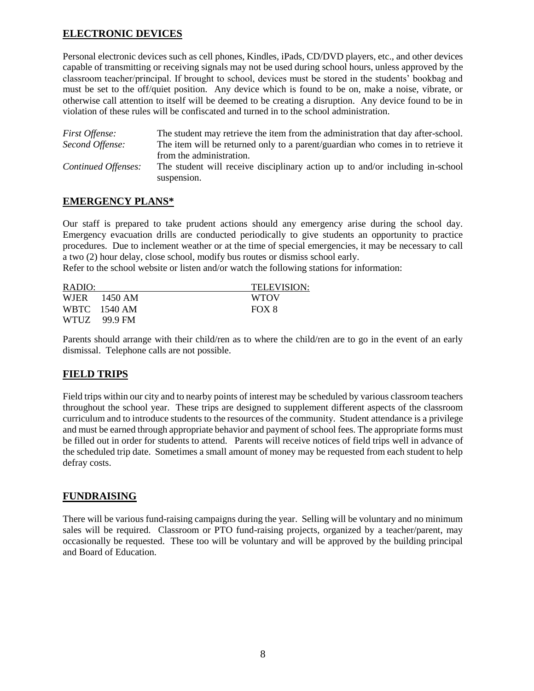#### **ELECTRONIC DEVICES**

Personal electronic devices such as cell phones, Kindles, iPads, CD/DVD players, etc., and other devices capable of transmitting or receiving signals may not be used during school hours, unless approved by the classroom teacher/principal. If brought to school, devices must be stored in the students' bookbag and must be set to the off/quiet position. Any device which is found to be on, make a noise, vibrate, or otherwise call attention to itself will be deemed to be creating a disruption. Any device found to be in violation of these rules will be confiscated and turned in to the school administration.

| <i>First Offense:</i> | The student may retrieve the item from the administration that day after-school.             |
|-----------------------|----------------------------------------------------------------------------------------------|
| Second Offense:       | The item will be returned only to a parent/guardian who comes in to retrieve it              |
|                       | from the administration.                                                                     |
| Continued Offenses:   | The student will receive disciplinary action up to and/or including in-school<br>suspension. |

#### **EMERGENCY PLANS\***

Our staff is prepared to take prudent actions should any emergency arise during the school day. Emergency evacuation drills are conducted periodically to give students an opportunity to practice procedures. Due to inclement weather or at the time of special emergencies, it may be necessary to call a two (2) hour delay, close school, modify bus routes or dismiss school early.

Refer to the school website or listen and/or watch the following stations for information:

| RADIO: |              | <b>TELEVISION:</b> |
|--------|--------------|--------------------|
|        | WJER 1450 AM | <b>WTOV</b>        |
|        | WBTC 1540 AM | FOX 8              |
|        | WTUZ 99.9 FM |                    |

Parents should arrange with their child/ren as to where the child/ren are to go in the event of an early dismissal. Telephone calls are not possible.

#### **FIELD TRIPS**

Field trips within our city and to nearby points of interest may be scheduled by various classroom teachers throughout the school year. These trips are designed to supplement different aspects of the classroom curriculum and to introduce students to the resources of the community. Student attendance is a privilege and must be earned through appropriate behavior and payment of school fees. The appropriate forms must be filled out in order for students to attend. Parents will receive notices of field trips well in advance of the scheduled trip date. Sometimes a small amount of money may be requested from each student to help defray costs.

#### **FUNDRAISING**

There will be various fund-raising campaigns during the year. Selling will be voluntary and no minimum sales will be required. Classroom or PTO fund-raising projects, organized by a teacher/parent, may occasionally be requested. These too will be voluntary and will be approved by the building principal and Board of Education.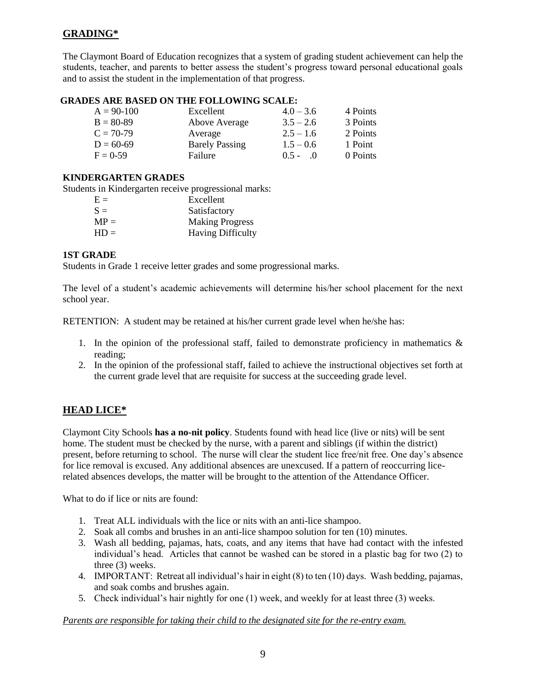#### **GRADING\***

The Claymont Board of Education recognizes that a system of grading student achievement can help the students, teacher, and parents to better assess the student's progress toward personal educational goals and to assist the student in the implementation of that progress.

#### **GRADES ARE BASED ON THE FOLLOWING SCALE:**

| $A = 90-100$ | Excellent             | $4.0 - 3.6$     | 4 Points |
|--------------|-----------------------|-----------------|----------|
| $B = 80-89$  | Above Average         | $3.5 - 2.6$     | 3 Points |
| $C = 70-79$  | Average               | $2.5 - 1.6$     | 2 Points |
| $D = 60-69$  | <b>Barely Passing</b> | $1.5 - 0.6$     | 1 Point  |
| $F = 0.59$   | Failure               | $0.5 -$<br>- () | 0 Points |

#### **KINDERGARTEN GRADES**

Students in Kindergarten receive progressional marks:

| $E =$  | Excellent                |
|--------|--------------------------|
| $S =$  | Satisfactory             |
| $MP =$ | <b>Making Progress</b>   |
| $HD =$ | <b>Having Difficulty</b> |

#### **1ST GRADE**

Students in Grade 1 receive letter grades and some progressional marks.

The level of a student's academic achievements will determine his/her school placement for the next school year.

RETENTION: A student may be retained at his/her current grade level when he/she has:

- 1. In the opinion of the professional staff, failed to demonstrate proficiency in mathematics  $\&$ reading;
- 2. In the opinion of the professional staff, failed to achieve the instructional objectives set forth at the current grade level that are requisite for success at the succeeding grade level.

#### **HEAD LICE\***

Claymont City Schools **has a no-nit policy**. Students found with head lice (live or nits) will be sent home. The student must be checked by the nurse, with a parent and siblings (if within the district) present, before returning to school. The nurse will clear the student lice free/nit free. One day's absence for lice removal is excused. Any additional absences are unexcused. If a pattern of reoccurring licerelated absences develops, the matter will be brought to the attention of the Attendance Officer.

What to do if lice or nits are found:

- 1. Treat ALL individuals with the lice or nits with an anti-lice shampoo.
- 2. Soak all combs and brushes in an anti-lice shampoo solution for ten (10) minutes.
- 3. Wash all bedding, pajamas, hats, coats, and any items that have had contact with the infested individual's head. Articles that cannot be washed can be stored in a plastic bag for two (2) to three (3) weeks.
- 4. IMPORTANT: Retreat all individual's hair in eight (8) to ten (10) days. Wash bedding, pajamas, and soak combs and brushes again.
- 5. Check individual's hair nightly for one (1) week, and weekly for at least three (3) weeks.

#### *Parents are responsible for taking their child to the designated site for the re-entry exam.*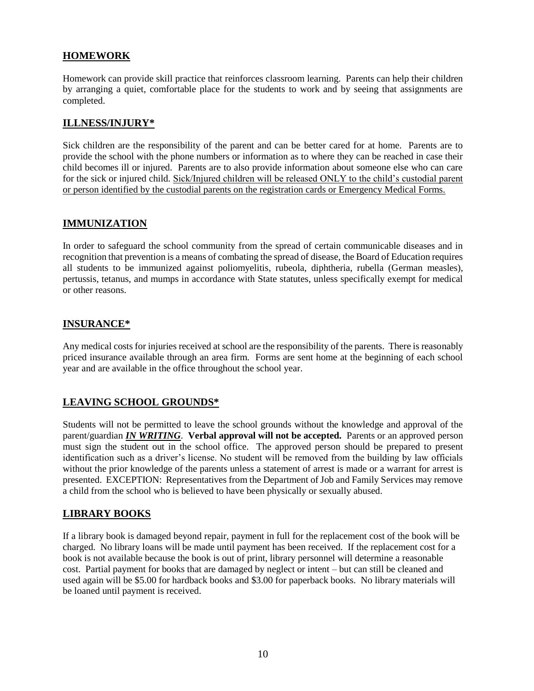#### **HOMEWORK**

Homework can provide skill practice that reinforces classroom learning. Parents can help their children by arranging a quiet, comfortable place for the students to work and by seeing that assignments are completed.

#### **ILLNESS/INJURY\***

Sick children are the responsibility of the parent and can be better cared for at home. Parents are to provide the school with the phone numbers or information as to where they can be reached in case their child becomes ill or injured. Parents are to also provide information about someone else who can care for the sick or injured child. Sick/Injured children will be released ONLY to the child's custodial parent or person identified by the custodial parents on the registration cards or Emergency Medical Forms.

#### **IMMUNIZATION**

In order to safeguard the school community from the spread of certain communicable diseases and in recognition that prevention is a means of combating the spread of disease, the Board of Education requires all students to be immunized against poliomyelitis, rubeola, diphtheria, rubella (German measles), pertussis, tetanus, and mumps in accordance with State statutes, unless specifically exempt for medical or other reasons.

#### **INSURANCE\***

Any medical costs for injuries received at school are the responsibility of the parents. There is reasonably priced insurance available through an area firm. Forms are sent home at the beginning of each school year and are available in the office throughout the school year.

#### **LEAVING SCHOOL GROUNDS\***

Students will not be permitted to leave the school grounds without the knowledge and approval of the parent/guardian *IN WRITING*. **Verbal approval will not be accepted.** Parents or an approved person must sign the student out in the school office. The approved person should be prepared to present identification such as a driver's license. No student will be removed from the building by law officials without the prior knowledge of the parents unless a statement of arrest is made or a warrant for arrest is presented. EXCEPTION: Representatives from the Department of Job and Family Services may remove a child from the school who is believed to have been physically or sexually abused.

#### **LIBRARY BOOKS**

If a library book is damaged beyond repair, payment in full for the replacement cost of the book will be charged. No library loans will be made until payment has been received. If the replacement cost for a book is not available because the book is out of print, library personnel will determine a reasonable cost. Partial payment for books that are damaged by neglect or intent – but can still be cleaned and used again will be \$5.00 for hardback books and \$3.00 for paperback books. No library materials will be loaned until payment is received.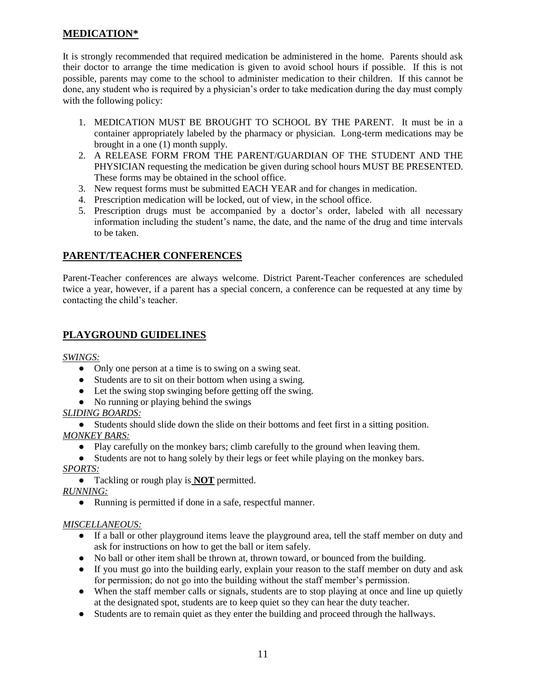#### **MEDICATION\***

It is strongly recommended that required medication be administered in the home. Parents should ask their doctor to arrange the time medication is given to avoid school hours if possible. If this is not possible, parents may come to the school to administer medication to their children. If this cannot be done, any student who is required by a physician's order to take medication during the day must comply with the following policy:

- 1. MEDICATION MUST BE BROUGHT TO SCHOOL BY THE PARENT. It must be in a container appropriately labeled by the pharmacy or physician. Long-term medications may be brought in a one (1) month supply.
- 2. A RELEASE FORM FROM THE PARENT/GUARDIAN OF THE STUDENT AND THE PHYSICIAN requesting the medication be given during school hours MUST BE PRESENTED. These forms may be obtained in the school office.
- 3. New request forms must be submitted EACH YEAR and for changes in medication.
- 4. Prescription medication will be locked, out of view, in the school office.
- 5. Prescription drugs must be accompanied by a doctor's order, labeled with all necessary information including the student's name, the date, and the name of the drug and time intervals to be taken.

#### **PARENT/TEACHER CONFERENCES**

Parent-Teacher conferences are always welcome. District Parent-Teacher conferences are scheduled twice a year, however, if a parent has a special concern, a conference can be requested at any time by contacting the child's teacher.

#### **PLAYGROUND GUIDELINES**

*SWINGS:*

- Only one person at a time is to swing on a swing seat.
- Students are to sit on their bottom when using a swing.
- Let the swing stop swinging before getting off the swing.
- No running or playing behind the swings

#### *SLIDING BOARDS:*

● Students should slide down the slide on their bottoms and feet first in a sitting position. *MONKEY BARS:*

● Play carefully on the monkey bars; climb carefully to the ground when leaving them.

● Students are not to hang solely by their legs or feet while playing on the monkey bars.

#### *SPORTS:*

● Tackling or rough play is **NOT** permitted.

*RUNNING:*

● Running is permitted if done in a safe, respectful manner.

#### *MISCELLANEOUS:*

- If a ball or other playground items leave the playground area, tell the staff member on duty and ask for instructions on how to get the ball or item safely.
- No ball or other item shall be thrown at, thrown toward, or bounced from the building.
- If you must go into the building early, explain your reason to the staff member on duty and ask for permission; do not go into the building without the staff member's permission.
- When the staff member calls or signals, students are to stop playing at once and line up quietly at the designated spot, students are to keep quiet so they can hear the duty teacher.
- Students are to remain quiet as they enter the building and proceed through the hallways.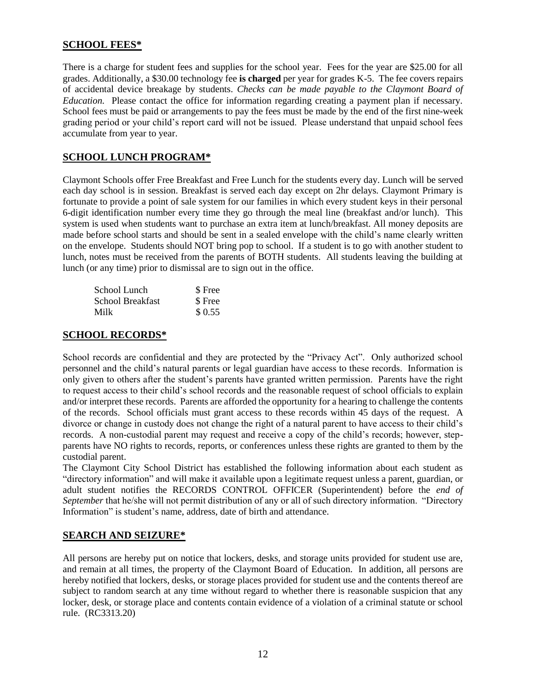#### **SCHOOL FEES\***

There is a charge for student fees and supplies for the school year. Fees for the year are \$25.00 for all grades. Additionally, a \$30.00 technology fee **is charged** per year for grades K-5. The fee covers repairs of accidental device breakage by students. *Checks can be made payable to the Claymont Board of Education.* Please contact the office for information regarding creating a payment plan if necessary. School fees must be paid or arrangements to pay the fees must be made by the end of the first nine-week grading period or your child's report card will not be issued. Please understand that unpaid school fees accumulate from year to year.

#### **SCHOOL LUNCH PROGRAM\***

Claymont Schools offer Free Breakfast and Free Lunch for the students every day. Lunch will be served each day school is in session. Breakfast is served each day except on 2hr delays. Claymont Primary is fortunate to provide a point of sale system for our families in which every student keys in their personal 6-digit identification number every time they go through the meal line (breakfast and/or lunch). This system is used when students want to purchase an extra item at lunch/breakfast. All money deposits are made before school starts and should be sent in a sealed envelope with the child's name clearly written on the envelope. Students should NOT bring pop to school. If a student is to go with another student to lunch, notes must be received from the parents of BOTH students. All students leaving the building at lunch (or any time) prior to dismissal are to sign out in the office.

| School Lunch     | \$ Free |
|------------------|---------|
| School Breakfast | \$ Free |
| Milk             | \$0.55  |

#### **SCHOOL RECORDS\***

School records are confidential and they are protected by the "Privacy Act". Only authorized school personnel and the child's natural parents or legal guardian have access to these records. Information is only given to others after the student's parents have granted written permission. Parents have the right to request access to their child's school records and the reasonable request of school officials to explain and/or interpret these records. Parents are afforded the opportunity for a hearing to challenge the contents of the records. School officials must grant access to these records within 45 days of the request. A divorce or change in custody does not change the right of a natural parent to have access to their child's records. A non-custodial parent may request and receive a copy of the child's records; however, stepparents have NO rights to records, reports, or conferences unless these rights are granted to them by the custodial parent.

The Claymont City School District has established the following information about each student as "directory information" and will make it available upon a legitimate request unless a parent, guardian, or adult student notifies the RECORDS CONTROL OFFICER (Superintendent) before the *end of September* that he/she will not permit distribution of any or all of such directory information. "Directory Information" is student's name, address, date of birth and attendance.

#### **SEARCH AND SEIZURE\***

All persons are hereby put on notice that lockers, desks, and storage units provided for student use are, and remain at all times, the property of the Claymont Board of Education. In addition, all persons are hereby notified that lockers, desks, or storage places provided for student use and the contents thereof are subject to random search at any time without regard to whether there is reasonable suspicion that any locker, desk, or storage place and contents contain evidence of a violation of a criminal statute or school rule. (RC3313.20)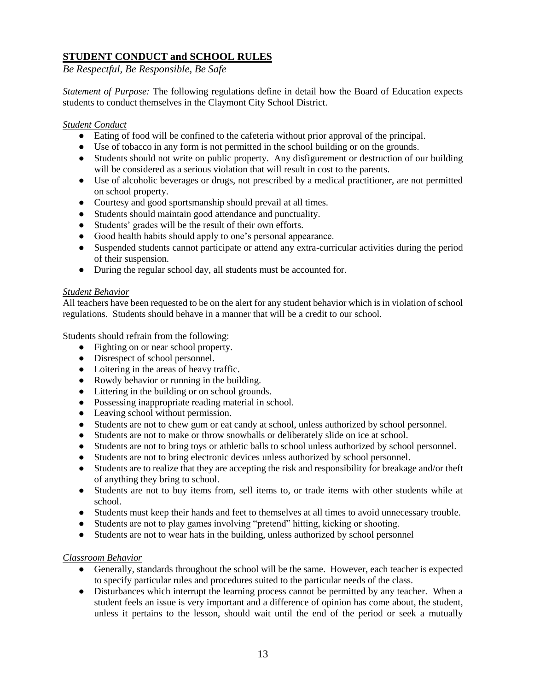#### **STUDENT CONDUCT and SCHOOL RULES**

*Be Respectful, Be Responsible, Be Safe*

*Statement of Purpose:* The following regulations define in detail how the Board of Education expects students to conduct themselves in the Claymont City School District.

#### *Student Conduct*

- Eating of food will be confined to the cafeteria without prior approval of the principal.
- Use of tobacco in any form is not permitted in the school building or on the grounds.
- Students should not write on public property. Any disfigurement or destruction of our building will be considered as a serious violation that will result in cost to the parents.
- Use of alcoholic beverages or drugs, not prescribed by a medical practitioner, are not permitted on school property.
- Courtesy and good sportsmanship should prevail at all times.
- Students should maintain good attendance and punctuality.
- Students' grades will be the result of their own efforts.
- Good health habits should apply to one's personal appearance.
- Suspended students cannot participate or attend any extra-curricular activities during the period of their suspension.
- During the regular school day, all students must be accounted for.

#### *Student Behavior*

All teachers have been requested to be on the alert for any student behavior which is in violation of school regulations. Students should behave in a manner that will be a credit to our school.

Students should refrain from the following:

- Fighting on or near school property.
- Disrespect of school personnel.
- Loitering in the areas of heavy traffic.
- Rowdy behavior or running in the building.
- Littering in the building or on school grounds.
- Possessing inappropriate reading material in school.
- Leaving school without permission.
- Students are not to chew gum or eat candy at school, unless authorized by school personnel.
- Students are not to make or throw snowballs or deliberately slide on ice at school.
- Students are not to bring toys or athletic balls to school unless authorized by school personnel.
- Students are not to bring electronic devices unless authorized by school personnel.
- Students are to realize that they are accepting the risk and responsibility for breakage and/or theft of anything they bring to school.
- Students are not to buy items from, sell items to, or trade items with other students while at school.
- Students must keep their hands and feet to themselves at all times to avoid unnecessary trouble.
- Students are not to play games involving "pretend" hitting, kicking or shooting.
- Students are not to wear hats in the building, unless authorized by school personnel

#### *Classroom Behavior*

- Generally, standards throughout the school will be the same. However, each teacher is expected to specify particular rules and procedures suited to the particular needs of the class.
- Disturbances which interrupt the learning process cannot be permitted by any teacher. When a student feels an issue is very important and a difference of opinion has come about, the student, unless it pertains to the lesson, should wait until the end of the period or seek a mutually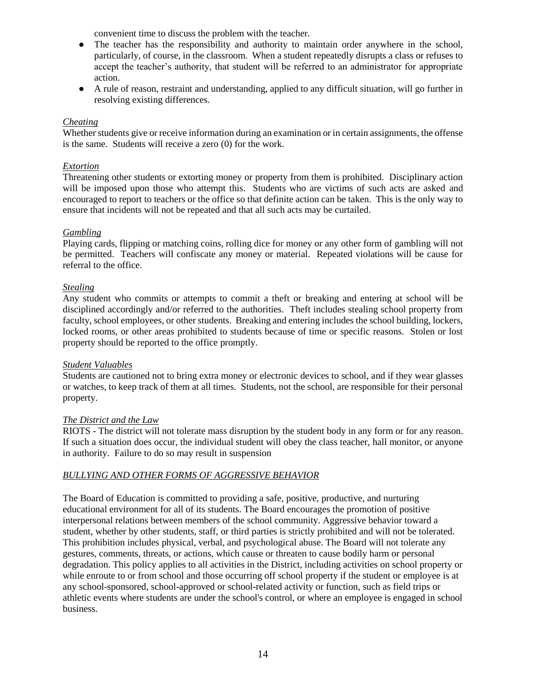convenient time to discuss the problem with the teacher.

- The teacher has the responsibility and authority to maintain order anywhere in the school, particularly, of course, in the classroom. When a student repeatedly disrupts a class or refuses to accept the teacher's authority, that student will be referred to an administrator for appropriate action.
- A rule of reason, restraint and understanding, applied to any difficult situation, will go further in resolving existing differences.

#### *Cheating*

Whether students give or receive information during an examination or in certain assignments, the offense is the same. Students will receive a zero (0) for the work.

#### *Extortion*

Threatening other students or extorting money or property from them is prohibited. Disciplinary action will be imposed upon those who attempt this. Students who are victims of such acts are asked and encouraged to report to teachers or the office so that definite action can be taken. This is the only way to ensure that incidents will not be repeated and that all such acts may be curtailed.

#### *Gambling*

Playing cards, flipping or matching coins, rolling dice for money or any other form of gambling will not be permitted. Teachers will confiscate any money or material. Repeated violations will be cause for referral to the office.

#### *Stealing*

Any student who commits or attempts to commit a theft or breaking and entering at school will be disciplined accordingly and/or referred to the authorities. Theft includes stealing school property from faculty, school employees, or other students. Breaking and entering includes the school building, lockers, locked rooms, or other areas prohibited to students because of time or specific reasons. Stolen or lost property should be reported to the office promptly.

#### *Student Valuables*

Students are cautioned not to bring extra money or electronic devices to school, and if they wear glasses or watches, to keep track of them at all times. Students, not the school, are responsible for their personal property.

#### *The District and the Law*

RIOTS - The district will not tolerate mass disruption by the student body in any form or for any reason. If such a situation does occur, the individual student will obey the class teacher, hall monitor, or anyone in authority. Failure to do so may result in suspension

#### *BULLYING AND OTHER FORMS OF AGGRESSIVE BEHAVIOR*

The Board of Education is committed to providing a safe, positive, productive, and nurturing educational environment for all of its students. The Board encourages the promotion of positive interpersonal relations between members of the school community. Aggressive behavior toward a student, whether by other students, staff, or third parties is strictly prohibited and will not be tolerated. This prohibition includes physical, verbal, and psychological abuse. The Board will not tolerate any gestures, comments, threats, or actions, which cause or threaten to cause bodily harm or personal degradation. This policy applies to all activities in the District, including activities on school property or while enroute to or from school and those occurring off school property if the student or employee is at any school-sponsored, school-approved or school-related activity or function, such as field trips or athletic events where students are under the school's control, or where an employee is engaged in school business.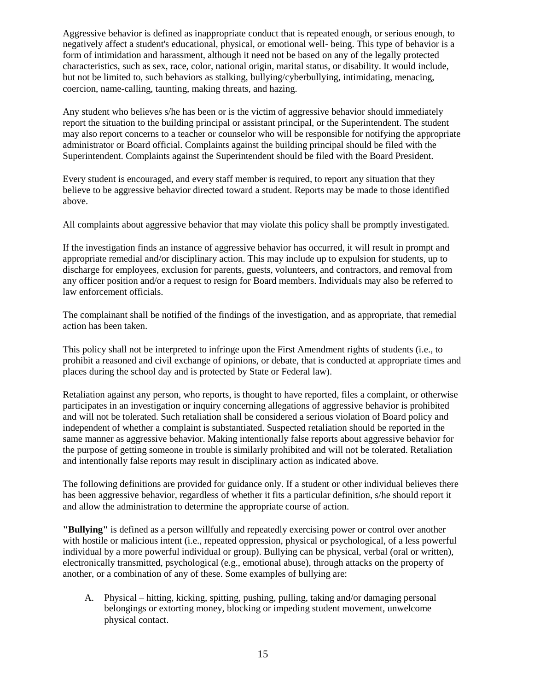Aggressive behavior is defined as inappropriate conduct that is repeated enough, or serious enough, to negatively affect a student's educational, physical, or emotional well- being. This type of behavior is a form of intimidation and harassment, although it need not be based on any of the legally protected characteristics, such as sex, race, color, national origin, marital status, or disability. It would include, but not be limited to, such behaviors as stalking, bullying/cyberbullying, intimidating, menacing, coercion, name-calling, taunting, making threats, and hazing.

Any student who believes s/he has been or is the victim of aggressive behavior should immediately report the situation to the building principal or assistant principal, or the Superintendent. The student may also report concerns to a teacher or counselor who will be responsible for notifying the appropriate administrator or Board official. Complaints against the building principal should be filed with the Superintendent. Complaints against the Superintendent should be filed with the Board President.

Every student is encouraged, and every staff member is required, to report any situation that they believe to be aggressive behavior directed toward a student. Reports may be made to those identified above.

All complaints about aggressive behavior that may violate this policy shall be promptly investigated.

If the investigation finds an instance of aggressive behavior has occurred, it will result in prompt and appropriate remedial and/or disciplinary action. This may include up to expulsion for students, up to discharge for employees, exclusion for parents, guests, volunteers, and contractors, and removal from any officer position and/or a request to resign for Board members. Individuals may also be referred to law enforcement officials.

The complainant shall be notified of the findings of the investigation, and as appropriate, that remedial action has been taken.

This policy shall not be interpreted to infringe upon the First Amendment rights of students (i.e., to prohibit a reasoned and civil exchange of opinions, or debate, that is conducted at appropriate times and places during the school day and is protected by State or Federal law).

Retaliation against any person, who reports, is thought to have reported, files a complaint, or otherwise participates in an investigation or inquiry concerning allegations of aggressive behavior is prohibited and will not be tolerated. Such retaliation shall be considered a serious violation of Board policy and independent of whether a complaint is substantiated. Suspected retaliation should be reported in the same manner as aggressive behavior. Making intentionally false reports about aggressive behavior for the purpose of getting someone in trouble is similarly prohibited and will not be tolerated. Retaliation and intentionally false reports may result in disciplinary action as indicated above.

The following definitions are provided for guidance only. If a student or other individual believes there has been aggressive behavior, regardless of whether it fits a particular definition, s/he should report it and allow the administration to determine the appropriate course of action.

**"Bullying"** is defined as a person willfully and repeatedly exercising power or control over another with hostile or malicious intent (i.e., repeated oppression, physical or psychological, of a less powerful individual by a more powerful individual or group). Bullying can be physical, verbal (oral or written), electronically transmitted, psychological (e.g., emotional abuse), through attacks on the property of another, or a combination of any of these. Some examples of bullying are:

A. Physical – hitting, kicking, spitting, pushing, pulling, taking and/or damaging personal belongings or extorting money, blocking or impeding student movement, unwelcome physical contact.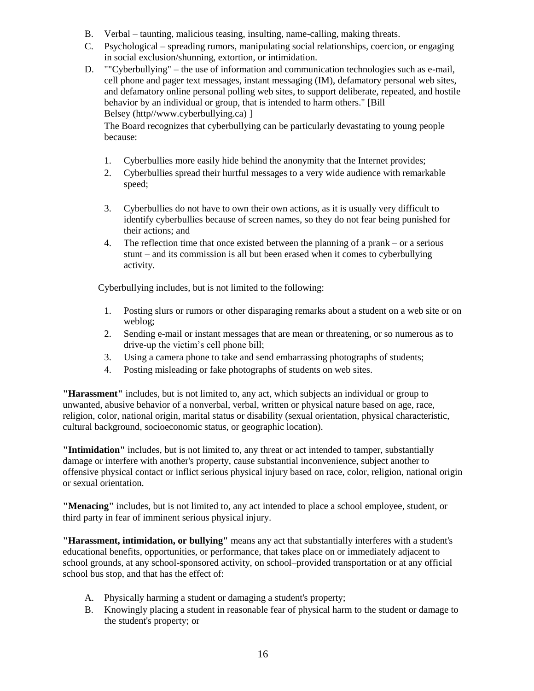- B. Verbal taunting, malicious teasing, insulting, name-calling, making threats.
- C. Psychological spreading rumors, manipulating social relationships, coercion, or engaging in social exclusion/shunning, extortion, or intimidation.
- D. ""Cyberbullying" the use of information and communication technologies such as e-mail, cell phone and pager text messages, instant messaging (IM), defamatory personal web sites, and defamatory online personal polling web sites, to support deliberate, repeated, and hostile behavior by an individual or group, that is intended to harm others." [Bill Belsey (http//www.cyberbullying.ca) ]

The Board recognizes that cyberbullying can be particularly devastating to young people because:

- 1. Cyberbullies more easily hide behind the anonymity that the Internet provides;
- 2. Cyberbullies spread their hurtful messages to a very wide audience with remarkable speed;
- 3. Cyberbullies do not have to own their own actions, as it is usually very difficult to identify cyberbullies because of screen names, so they do not fear being punished for their actions; and
- 4. The reflection time that once existed between the planning of a prank or a serious stunt – and its commission is all but been erased when it comes to cyberbullying activity.

Cyberbullying includes, but is not limited to the following:

- 1. Posting slurs or rumors or other disparaging remarks about a student on a web site or on weblog;
- 2. Sending e-mail or instant messages that are mean or threatening, or so numerous as to drive-up the victim's cell phone bill;
- 3. Using a camera phone to take and send embarrassing photographs of students;
- 4. Posting misleading or fake photographs of students on web sites.

**"Harassment"** includes, but is not limited to, any act, which subjects an individual or group to unwanted, abusive behavior of a nonverbal, verbal, written or physical nature based on age, race, religion, color, national origin, marital status or disability (sexual orientation, physical characteristic, cultural background, socioeconomic status, or geographic location).

**"Intimidation"** includes, but is not limited to, any threat or act intended to tamper, substantially damage or interfere with another's property, cause substantial inconvenience, subject another to offensive physical contact or inflict serious physical injury based on race, color, religion, national origin or sexual orientation.

**"Menacing"** includes, but is not limited to, any act intended to place a school employee, student, or third party in fear of imminent serious physical injury.

**"Harassment, intimidation, or bullying"** means any act that substantially interferes with a student's educational benefits, opportunities, or performance, that takes place on or immediately adjacent to school grounds, at any school-sponsored activity, on school–provided transportation or at any official school bus stop, and that has the effect of:

- A. Physically harming a student or damaging a student's property;
- B. Knowingly placing a student in reasonable fear of physical harm to the student or damage to the student's property; or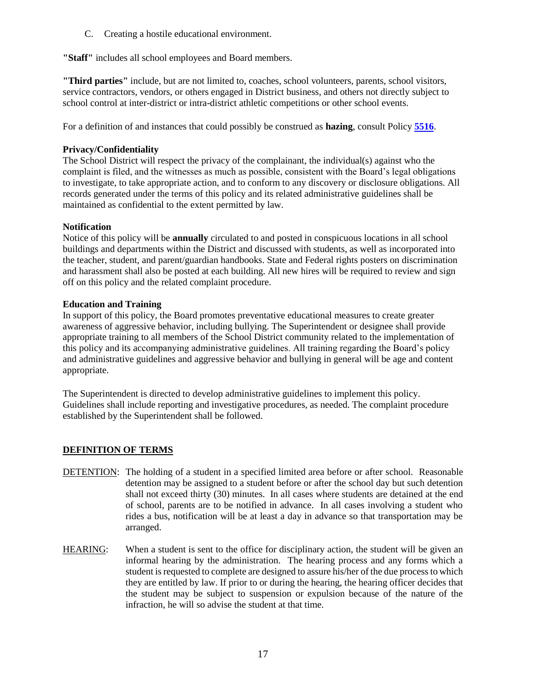C. Creating a hostile educational environment.

**"Staff"** includes all school employees and Board members.

**"Third parties"** include, but are not limited to, coaches, school volunteers, parents, school visitors, service contractors, vendors, or others engaged in District business, and others not directly subject to school control at inter-district or intra-district athletic competitions or other school events.

For a definition of and instances that could possibly be construed as **hazing**, consult Policy **[5516](http://www.neola.com/mcsdpol-oh/search/policies/po5516.htm)**.

#### **Privacy/Confidentiality**

The School District will respect the privacy of the complainant, the individual(s) against who the complaint is filed, and the witnesses as much as possible, consistent with the Board's legal obligations to investigate, to take appropriate action, and to conform to any discovery or disclosure obligations. All records generated under the terms of this policy and its related administrative guidelines shall be maintained as confidential to the extent permitted by law.

#### **Notification**

Notice of this policy will be **annually** circulated to and posted in conspicuous locations in all school buildings and departments within the District and discussed with students, as well as incorporated into the teacher, student, and parent/guardian handbooks. State and Federal rights posters on discrimination and harassment shall also be posted at each building. All new hires will be required to review and sign off on this policy and the related complaint procedure.

#### **Education and Training**

In support of this policy, the Board promotes preventative educational measures to create greater awareness of aggressive behavior, including bullying. The Superintendent or designee shall provide appropriate training to all members of the School District community related to the implementation of this policy and its accompanying administrative guidelines. All training regarding the Board's policy and administrative guidelines and aggressive behavior and bullying in general will be age and content appropriate.

The Superintendent is directed to develop administrative guidelines to implement this policy. Guidelines shall include reporting and investigative procedures, as needed. The complaint procedure established by the Superintendent shall be followed.

#### **DEFINITION OF TERMS**

- DETENTION: The holding of a student in a specified limited area before or after school. Reasonable detention may be assigned to a student before or after the school day but such detention shall not exceed thirty (30) minutes. In all cases where students are detained at the end of school, parents are to be notified in advance. In all cases involving a student who rides a bus, notification will be at least a day in advance so that transportation may be arranged.
- HEARING: When a student is sent to the office for disciplinary action, the student will be given an informal hearing by the administration. The hearing process and any forms which a student is requested to complete are designed to assure his/her of the due process to which they are entitled by law. If prior to or during the hearing, the hearing officer decides that the student may be subject to suspension or expulsion because of the nature of the infraction, he will so advise the student at that time.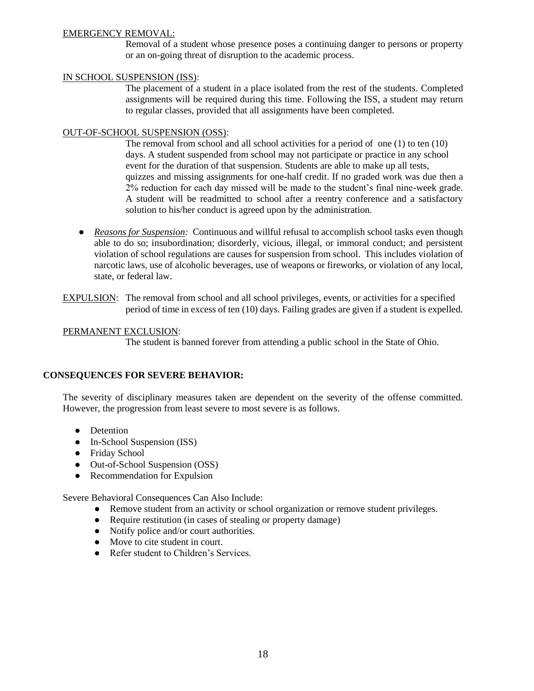#### EMERGENCY REMOVAL:

Removal of a student whose presence poses a continuing danger to persons or property or an on-going threat of disruption to the academic process.

#### IN SCHOOL SUSPENSION (ISS):

The placement of a student in a place isolated from the rest of the students. Completed assignments will be required during this time. Following the ISS, a student may return to regular classes, provided that all assignments have been completed.

#### OUT-OF-SCHOOL SUSPENSION (OSS):

The removal from school and all school activities for a period of one (1) to ten (10) days. A student suspended from school may not participate or practice in any school event for the duration of that suspension. Students are able to make up all tests, quizzes and missing assignments for one-half credit. If no graded work was due then a 2% reduction for each day missed will be made to the student's final nine-week grade. A student will be readmitted to school after a reentry conference and a satisfactory solution to his/her conduct is agreed upon by the administration.

- *Reasons for Suspension:* Continuous and willful refusal to accomplish school tasks even though able to do so; insubordination; disorderly, vicious, illegal, or immoral conduct; and persistent violation of school regulations are causes for suspension from school. This includes violation of narcotic laws, use of alcoholic beverages, use of weapons or fireworks, or violation of any local, state, or federal law.
- EXPULSION: The removal from school and all school privileges, events, or activities for a specified period of time in excess of ten (10) days. Failing grades are given if a student is expelled.

#### PERMANENT EXCLUSION:

The student is banned forever from attending a public school in the State of Ohio.

#### **CONSEQUENCES FOR SEVERE BEHAVIOR:**

The severity of disciplinary measures taken are dependent on the severity of the offense committed. However, the progression from least severe to most severe is as follows.

- Detention
- In-School Suspension (ISS)
- Friday School
- Out-of-School Suspension (OSS)
- Recommendation for Expulsion

Severe Behavioral Consequences Can Also Include:

- Remove student from an activity or school organization or remove student privileges.
- Require restitution (in cases of stealing or property damage)
- Notify police and/or court authorities.
- Move to cite student in court.
- Refer student to Children's Services.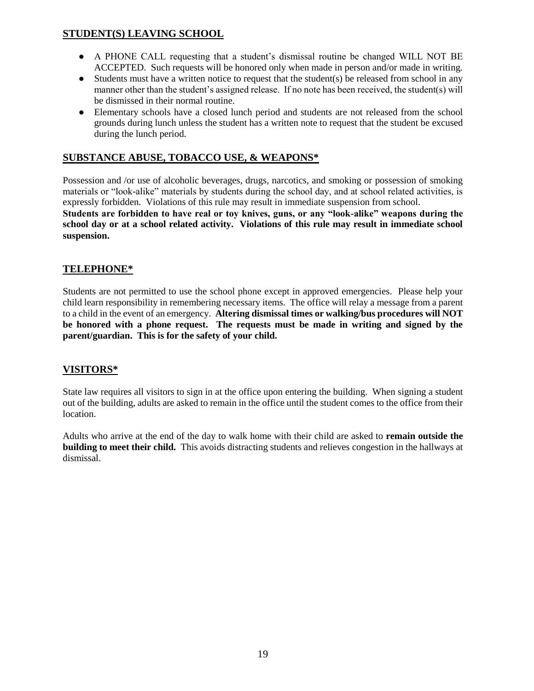#### **STUDENT(S) LEAVING SCHOOL**

- A PHONE CALL requesting that a student's dismissal routine be changed WILL NOT BE ACCEPTED. Such requests will be honored only when made in person and/or made in writing.
- $\bullet$  Students must have a written notice to request that the student(s) be released from school in any manner other than the student's assigned release. If no note has been received, the student(s) will be dismissed in their normal routine.
- Elementary schools have a closed lunch period and students are not released from the school grounds during lunch unless the student has a written note to request that the student be excused during the lunch period.

#### **SUBSTANCE ABUSE, TOBACCO USE, & WEAPONS\***

Possession and /or use of alcoholic beverages, drugs, narcotics, and smoking or possession of smoking materials or "look-alike" materials by students during the school day, and at school related activities, is expressly forbidden. Violations of this rule may result in immediate suspension from school.

**Students are forbidden to have real or toy knives, guns, or any "look-alike" weapons during the school day or at a school related activity. Violations of this rule may result in immediate school suspension.**

#### **TELEPHONE\***

Students are not permitted to use the school phone except in approved emergencies. Please help your child learn responsibility in remembering necessary items. The office will relay a message from a parent to a child in the event of an emergency. **Altering dismissal times or walking/bus procedures will NOT be honored with a phone request. The requests must be made in writing and signed by the parent/guardian. This is for the safety of your child.**

#### **VISITORS\***

State law requires all visitors to sign in at the office upon entering the building. When signing a student out of the building, adults are asked to remain in the office until the student comes to the office from their location.

Adults who arrive at the end of the day to walk home with their child are asked to **remain outside the building to meet their child.** This avoids distracting students and relieves congestion in the hallways at dismissal.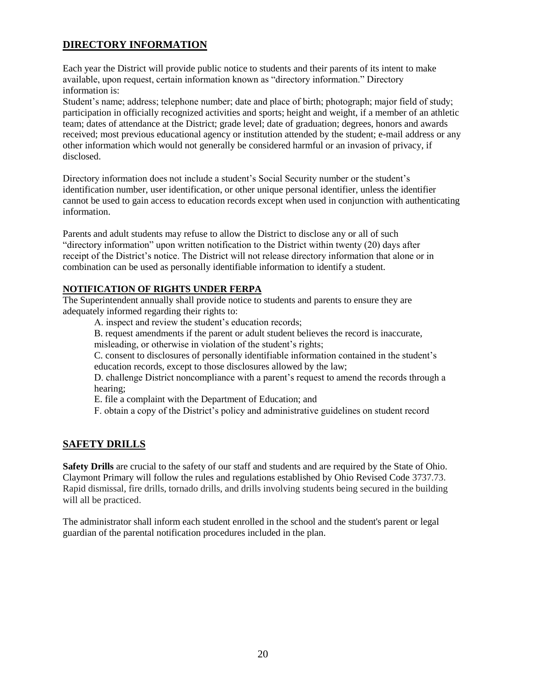#### **DIRECTORY INFORMATION**

Each year the District will provide public notice to students and their parents of its intent to make available, upon request, certain information known as "directory information." Directory information is:

Student's name; address; telephone number; date and place of birth; photograph; major field of study; participation in officially recognized activities and sports; height and weight, if a member of an athletic team; dates of attendance at the District; grade level; date of graduation; degrees, honors and awards received; most previous educational agency or institution attended by the student; e-mail address or any other information which would not generally be considered harmful or an invasion of privacy, if disclosed.

Directory information does not include a student's Social Security number or the student's identification number, user identification, or other unique personal identifier, unless the identifier cannot be used to gain access to education records except when used in conjunction with authenticating information.

Parents and adult students may refuse to allow the District to disclose any or all of such "directory information" upon written notification to the District within twenty (20) days after receipt of the District's notice. The District will not release directory information that alone or in combination can be used as personally identifiable information to identify a student.

#### **NOTIFICATION OF RIGHTS UNDER FERPA**

The Superintendent annually shall provide notice to students and parents to ensure they are adequately informed regarding their rights to:

A. inspect and review the student's education records;

B. request amendments if the parent or adult student believes the record is inaccurate,

misleading, or otherwise in violation of the student's rights;

C. consent to disclosures of personally identifiable information contained in the student's education records, except to those disclosures allowed by the law;

D. challenge District noncompliance with a parent's request to amend the records through a hearing;

E. file a complaint with the Department of Education; and

F. obtain a copy of the District's policy and administrative guidelines on student record

#### **SAFETY DRILLS**

**Safety Drills** are crucial to the safety of our staff and students and are required by the State of Ohio. Claymont Primary will follow the rules and regulations established by Ohio Revised Code 3737.73. Rapid dismissal, fire drills, tornado drills, and drills involving students being secured in the building will all be practiced.

The administrator shall inform each student enrolled in the school and the student's parent or legal guardian of the parental notification procedures included in the plan.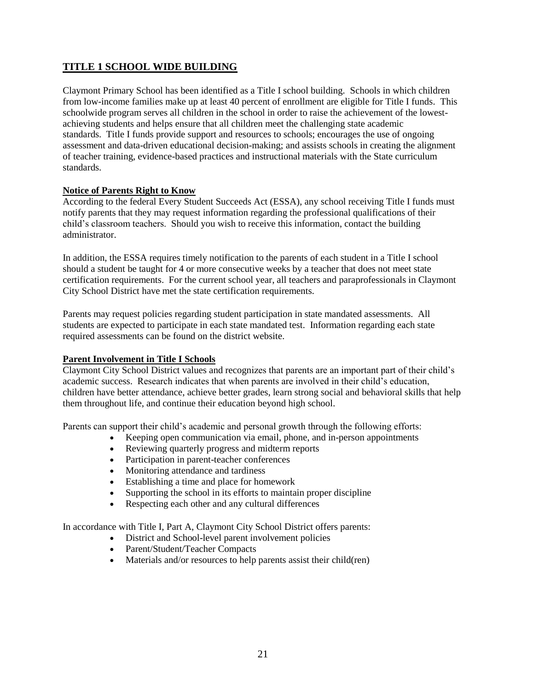#### **TITLE 1 SCHOOL WIDE BUILDING**

Claymont Primary School has been identified as a Title I school building. Schools in which children from low-income families make up at least 40 percent of enrollment are eligible for Title I funds. This schoolwide program serves all children in the school in order to raise the achievement of the lowestachieving students and helps ensure that all children meet the challenging state academic standards. Title I funds provide support and resources to schools; encourages the use of ongoing assessment and data-driven educational decision-making; and assists schools in creating the alignment of teacher training, evidence-based practices and instructional materials with the State curriculum standards.

#### **Notice of Parents Right to Know**

According to the federal Every Student Succeeds Act (ESSA), any school receiving Title I funds must notify parents that they may request information regarding the professional qualifications of their child's classroom teachers. Should you wish to receive this information, contact the building administrator.

In addition, the ESSA requires timely notification to the parents of each student in a Title I school should a student be taught for 4 or more consecutive weeks by a teacher that does not meet state certification requirements. For the current school year, all teachers and paraprofessionals in Claymont City School District have met the state certification requirements.

Parents may request policies regarding student participation in state mandated assessments. All students are expected to participate in each state mandated test. Information regarding each state required assessments can be found on the district website.

#### **Parent Involvement in Title I Schools**

Claymont City School District values and recognizes that parents are an important part of their child's academic success. Research indicates that when parents are involved in their child's education, children have better attendance, achieve better grades, learn strong social and behavioral skills that help them throughout life, and continue their education beyond high school.

Parents can support their child's academic and personal growth through the following efforts:

- Keeping open communication via email, phone, and in-person appointments
- Reviewing quarterly progress and midterm reports
- Participation in parent-teacher conferences
- Monitoring attendance and tardiness
- Establishing a time and place for homework
- Supporting the school in its efforts to maintain proper discipline
- Respecting each other and any cultural differences

In accordance with Title I, Part A, Claymont City School District offers parents:

- District and School-level parent involvement policies
- Parent/Student/Teacher Compacts
- Materials and/or resources to help parents assist their child(ren)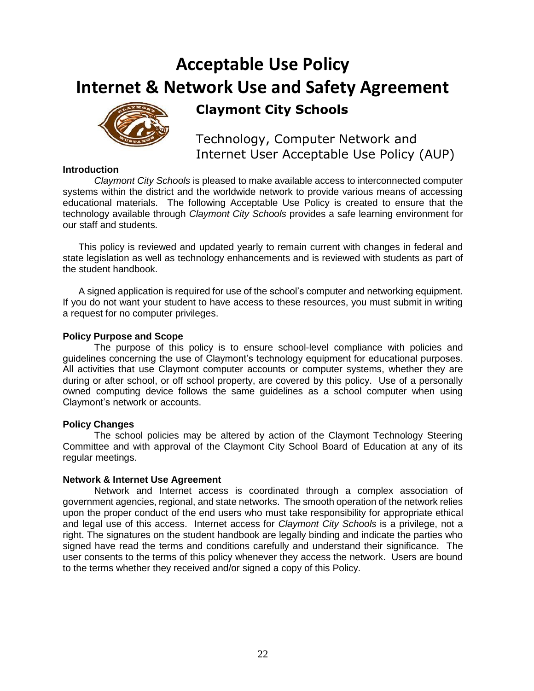# **Acceptable Use Policy Internet & Network Use and Safety Agreement**



**Claymont City Schools**

Technology, Computer Network and Internet User Acceptable Use Policy (AUP)

#### **Introduction**

*Claymont City Schools* is pleased to make available access to interconnected computer systems within the district and the worldwide network to provide various means of accessing educational materials. The following Acceptable Use Policy is created to ensure that the technology available through *Claymont City Schools* provides a safe learning environment for our staff and students.

This policy is reviewed and updated yearly to remain current with changes in federal and state legislation as well as technology enhancements and is reviewed with students as part of the student handbook.

A signed application is required for use of the school's computer and networking equipment. If you do not want your student to have access to these resources, you must submit in writing a request for no computer privileges.

#### **Policy Purpose and Scope**

The purpose of this policy is to ensure school-level compliance with policies and guidelines concerning the use of Claymont's technology equipment for educational purposes. All activities that use Claymont computer accounts or computer systems, whether they are during or after school, or off school property, are covered by this policy. Use of a personally owned computing device follows the same guidelines as a school computer when using Claymont's network or accounts.

#### **Policy Changes**

The school policies may be altered by action of the Claymont Technology Steering Committee and with approval of the Claymont City School Board of Education at any of its regular meetings.

#### **Network & Internet Use Agreement**

Network and Internet access is coordinated through a complex association of government agencies, regional, and state networks. The smooth operation of the network relies upon the proper conduct of the end users who must take responsibility for appropriate ethical and legal use of this access. Internet access for *Claymont City Schools* is a privilege, not a right. The signatures on the student handbook are legally binding and indicate the parties who signed have read the terms and conditions carefully and understand their significance. The user consents to the terms of this policy whenever they access the network. Users are bound to the terms whether they received and/or signed a copy of this Policy.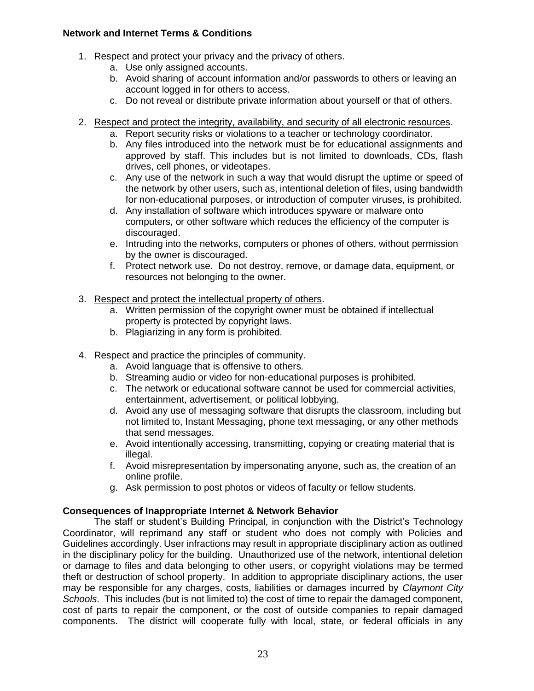#### **Network and Internet Terms & Conditions**

- 1. Respect and protect your privacy and the privacy of others.
	- a. Use only assigned accounts.
	- b. Avoid sharing of account information and/or passwords to others or leaving an account logged in for others to access.
	- c. Do not reveal or distribute private information about yourself or that of others.
- 2. Respect and protect the integrity, availability, and security of all electronic resources.
	- a. Report security risks or violations to a teacher or technology coordinator.
	- b. Any files introduced into the network must be for educational assignments and approved by staff. This includes but is not limited to downloads, CDs, flash drives, cell phones, or videotapes.
	- c. Any use of the network in such a way that would disrupt the uptime or speed of the network by other users, such as, intentional deletion of files, using bandwidth for non-educational purposes, or introduction of computer viruses, is prohibited.
	- d. Any installation of software which introduces spyware or malware onto computers, or other software which reduces the efficiency of the computer is discouraged.
	- e. Intruding into the networks, computers or phones of others, without permission by the owner is discouraged.
	- f. Protect network use. Do not destroy, remove, or damage data, equipment, or resources not belonging to the owner.
- 3. Respect and protect the intellectual property of others.
	- a. Written permission of the copyright owner must be obtained if intellectual property is protected by copyright laws.
	- b. Plagiarizing in any form is prohibited.
- 4. Respect and practice the principles of community.
	- a. Avoid language that is offensive to others.
	- b. Streaming audio or video for non-educational purposes is prohibited.
	- c. The network or educational software cannot be used for commercial activities, entertainment, advertisement, or political lobbying.
	- d. Avoid any use of messaging software that disrupts the classroom, including but not limited to, Instant Messaging, phone text messaging, or any other methods that send messages.
	- e. Avoid intentionally accessing, transmitting, copying or creating material that is illegal.
	- f. Avoid misrepresentation by impersonating anyone, such as, the creation of an online profile.
	- g. Ask permission to post photos or videos of faculty or fellow students.

#### **Consequences of Inappropriate Internet & Network Behavior**

The staff or student's Building Principal, in conjunction with the District's Technology Coordinator, will reprimand any staff or student who does not comply with Policies and Guidelines accordingly. User infractions may result in appropriate disciplinary action as outlined in the disciplinary policy for the building. Unauthorized use of the network, intentional deletion or damage to files and data belonging to other users, or copyright violations may be termed theft or destruction of school property. In addition to appropriate disciplinary actions, the user may be responsible for any charges, costs, liabilities or damages incurred by *Claymont City Schools*. This includes (but is not limited to) the cost of time to repair the damaged component, cost of parts to repair the component, or the cost of outside companies to repair damaged components. The district will cooperate fully with local, state, or federal officials in any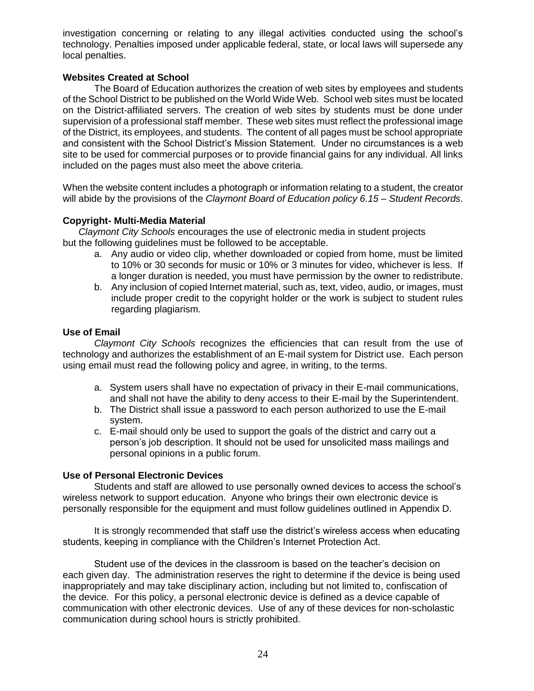investigation concerning or relating to any illegal activities conducted using the school's technology. Penalties imposed under applicable federal, state, or local laws will supersede any local penalties.

#### **Websites Created at School**

The Board of Education authorizes the creation of web sites by employees and students of the School District to be published on the World Wide Web. School web sites must be located on the District-affiliated servers. The creation of web sites by students must be done under supervision of a professional staff member. These web sites must reflect the professional image of the District, its employees, and students. The content of all pages must be school appropriate and consistent with the School District's Mission Statement. Under no circumstances is a web site to be used for commercial purposes or to provide financial gains for any individual. All links included on the pages must also meet the above criteria.

When the website content includes a photograph or information relating to a student, the creator will abide by the provisions of the *Claymont Board of Education policy 6.15 – Student Records*.

#### **Copyright- Multi-Media Material**

*Claymont City Schools* encourages the use of electronic media in student projects but the following guidelines must be followed to be acceptable.

- a. Any audio or video clip, whether downloaded or copied from home, must be limited to 10% or 30 seconds for music or 10% or 3 minutes for video, whichever is less. If a longer duration is needed, you must have permission by the owner to redistribute.
- b. Any inclusion of copied Internet material, such as, text, video, audio, or images, must include proper credit to the copyright holder or the work is subject to student rules regarding plagiarism.

#### **Use of Email**

*Claymont City Schools* recognizes the efficiencies that can result from the use of technology and authorizes the establishment of an E-mail system for District use. Each person using email must read the following policy and agree, in writing, to the terms.

- a. System users shall have no expectation of privacy in their E-mail communications, and shall not have the ability to deny access to their E-mail by the Superintendent.
- b. The District shall issue a password to each person authorized to use the E-mail system.
- c. E-mail should only be used to support the goals of the district and carry out a person's job description. It should not be used for unsolicited mass mailings and personal opinions in a public forum.

#### **Use of Personal Electronic Devices**

Students and staff are allowed to use personally owned devices to access the school's wireless network to support education. Anyone who brings their own electronic device is personally responsible for the equipment and must follow guidelines outlined in Appendix D.

It is strongly recommended that staff use the district's wireless access when educating students, keeping in compliance with the Children's Internet Protection Act.

Student use of the devices in the classroom is based on the teacher's decision on each given day. The administration reserves the right to determine if the device is being used inappropriately and may take disciplinary action, including but not limited to, confiscation of the device. For this policy, a personal electronic device is defined as a device capable of communication with other electronic devices. Use of any of these devices for non-scholastic communication during school hours is strictly prohibited.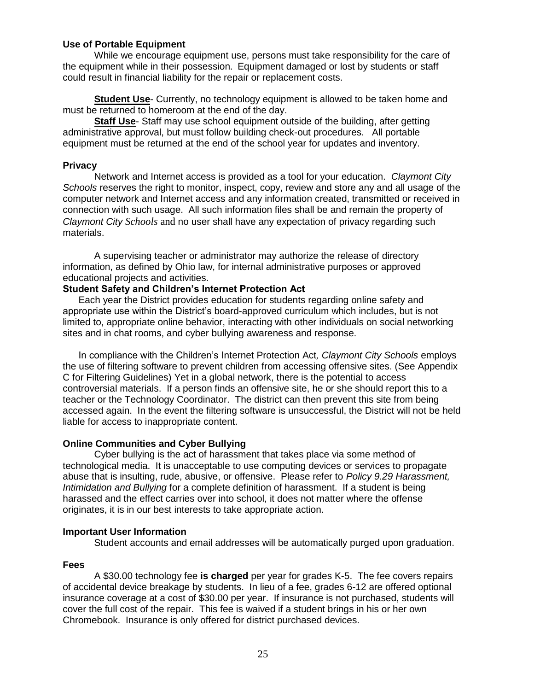#### **Use of Portable Equipment**

While we encourage equipment use, persons must take responsibility for the care of the equipment while in their possession. Equipment damaged or lost by students or staff could result in financial liability for the repair or replacement costs.

**Student Use**- Currently, no technology equipment is allowed to be taken home and must be returned to homeroom at the end of the day.

**Staff Use**- Staff may use school equipment outside of the building, after getting administrative approval, but must follow building check-out procedures. All portable equipment must be returned at the end of the school year for updates and inventory.

#### **Privacy**

Network and Internet access is provided as a tool for your education. *Claymont City Schools* reserves the right to monitor, inspect, copy, review and store any and all usage of the computer network and Internet access and any information created, transmitted or received in connection with such usage. All such information files shall be and remain the property of *Claymont City Schools* and no user shall have any expectation of privacy regarding such materials.

A supervising teacher or administrator may authorize the release of directory information, as defined by Ohio law, for internal administrative purposes or approved educational projects and activities.

#### **Student Safety and Children's Internet Protection Act**

Each year the District provides education for students regarding online safety and appropriate use within the District's board-approved curriculum which includes, but is not limited to, appropriate online behavior, interacting with other individuals on social networking sites and in chat rooms, and cyber bullying awareness and response.

In compliance with the Children's Internet Protection Act*, Claymont City Schools* employs the use of filtering software to prevent children from accessing offensive sites. (See Appendix C for Filtering Guidelines) Yet in a global network, there is the potential to access controversial materials. If a person finds an offensive site, he or she should report this to a teacher or the Technology Coordinator. The district can then prevent this site from being accessed again. In the event the filtering software is unsuccessful, the District will not be held liable for access to inappropriate content.

#### **Online Communities and Cyber Bullying**

Cyber bullying is the act of harassment that takes place via some method of technological media. It is unacceptable to use computing devices or services to propagate abuse that is insulting, rude, abusive, or offensive. Please refer to *Policy 9.29 Harassment, Intimidation and Bullying* for a complete definition of harassment. If a student is being harassed and the effect carries over into school, it does not matter where the offense originates, it is in our best interests to take appropriate action.

#### **Important User Information**

Student accounts and email addresses will be automatically purged upon graduation.

#### **Fees**

A \$30.00 technology fee **is charged** per year for grades K-5. The fee covers repairs of accidental device breakage by students. In lieu of a fee, grades 6-12 are offered optional insurance coverage at a cost of \$30.00 per year. If insurance is not purchased, students will cover the full cost of the repair. This fee is waived if a student brings in his or her own Chromebook. Insurance is only offered for district purchased devices.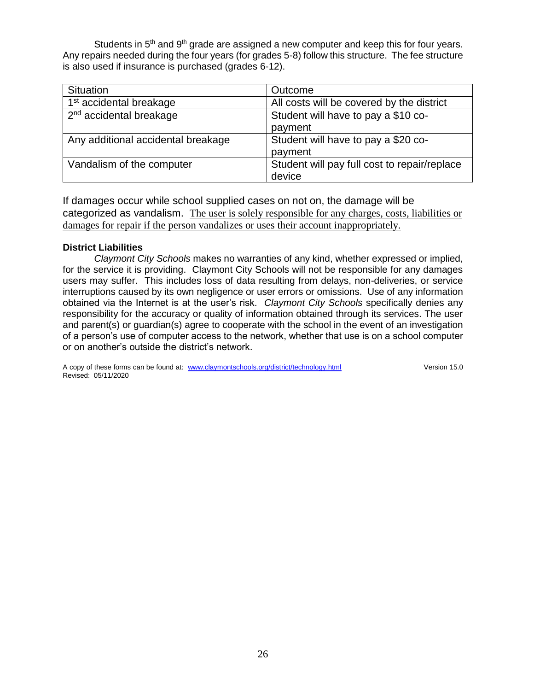Students in  $5<sup>th</sup>$  and  $9<sup>th</sup>$  grade are assigned a new computer and keep this for four years. Any repairs needed during the four years (for grades 5-8) follow this structure. The fee structure is also used if insurance is purchased (grades 6-12).

| <b>Situation</b>                    | Outcome                                      |  |
|-------------------------------------|----------------------------------------------|--|
| 1 <sup>st</sup> accidental breakage | All costs will be covered by the district    |  |
| $2nd$ accidental breakage           | Student will have to pay a \$10 co-          |  |
|                                     | payment                                      |  |
| Any additional accidental breakage  | Student will have to pay a \$20 co-          |  |
|                                     | payment                                      |  |
| Vandalism of the computer           | Student will pay full cost to repair/replace |  |
|                                     | device                                       |  |

If damages occur while school supplied cases on not on, the damage will be categorized as vandalism. The user is solely responsible for any charges, costs, liabilities or damages for repair if the person vandalizes or uses their account inappropriately.

#### **District Liabilities**

*Claymont City Schools* makes no warranties of any kind, whether expressed or implied, for the service it is providing. Claymont City Schools will not be responsible for any damages users may suffer. This includes loss of data resulting from delays, non-deliveries, or service interruptions caused by its own negligence or user errors or omissions. Use of any information obtained via the Internet is at the user's risk. *Claymont City Schools* specifically denies any responsibility for the accuracy or quality of information obtained through its services. The user and parent(s) or guardian(s) agree to cooperate with the school in the event of an investigation of a person's use of computer access to the network, whether that use is on a school computer or on another's outside the district's network.

A copy of these forms can be found at: [www.claymontschools.org/district/technology.html](http://www.claymontschools.org/district/technology.html) Version 15.0 Revised: 05/11/2020